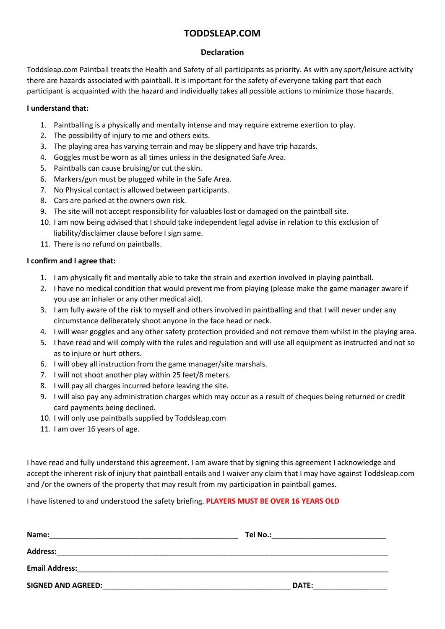## **TODDSLEAP.COM**

### **Declaration**

Toddsleap.com Paintball treats the Health and Safety of all participants as priority. As with any sport/leisure activity there are hazards associated with paintball. It is important for the safety of everyone taking part that each participant is acquainted with the hazard and individually takes all possible actions to minimize those hazards.

### **I understand that:**

- 1. Paintballing is a physically and mentally intense and may require extreme exertion to play.
- 2. The possibility of injury to me and others exits.
- 3. The playing area has varying terrain and may be slippery and have trip hazards.
- 4. Goggles must be worn as all times unless in the designated Safe Area.
- 5. Paintballs can cause bruising/or cut the skin.
- 6. Markers/gun must be plugged while in the Safe Area.
- 7. No Physical contact is allowed between participants.
- 8. Cars are parked at the owners own risk.
- 9. The site will not accept responsibility for valuables lost or damaged on the paintball site.
- 10. I am now being advised that I should take independent legal advise in relation to this exclusion of liability/disclaimer clause before I sign same.
- 11. There is no refund on paintballs.

### **I confirm and I agree that:**

- 1. I am physically fit and mentally able to take the strain and exertion involved in playing paintball.
- 2. I have no medical condition that would prevent me from playing (please make the game manager aware if you use an inhaler or any other medical aid).
- 3. I am fully aware of the risk to myself and others involved in paintballing and that I will never under any circumstance deliberately shoot anyone in the face head or neck.
- 4. I will wear goggles and any other safety protection provided and not remove them whilst in the playing area.
- 5. I have read and will comply with the rules and regulation and will use all equipment as instructed and not so as to injure or hurt others.
- 6. I will obey all instruction from the game manager/site marshals.
- 7. I will not shoot another play within 25 feet/8 meters.
- 8. I will pay all charges incurred before leaving the site.
- 9. I will also pay any administration charges which may occur as a result of cheques being returned or credit card payments being declined.
- 10. I will only use paintballs supplied by Toddsleap.com
- 11. I am over 16 years of age.

I have read and fully understand this agreement. I am aware that by signing this agreement I acknowledge and accept the inherent risk of injury that paintball entails and I waiver any claim that I may have against Toddsleap.com and /or the owners of the property that may result from my participation in paintball games.

I have listened to and understood the safety briefing. **PLAYERS MUST BE OVER 16 YEARS OLD**

| Name:                     | Tel No.:     |
|---------------------------|--------------|
| <b>Address:</b>           |              |
| <b>Email Address:</b>     |              |
| <b>SIGNED AND AGREED:</b> | <b>DATE:</b> |